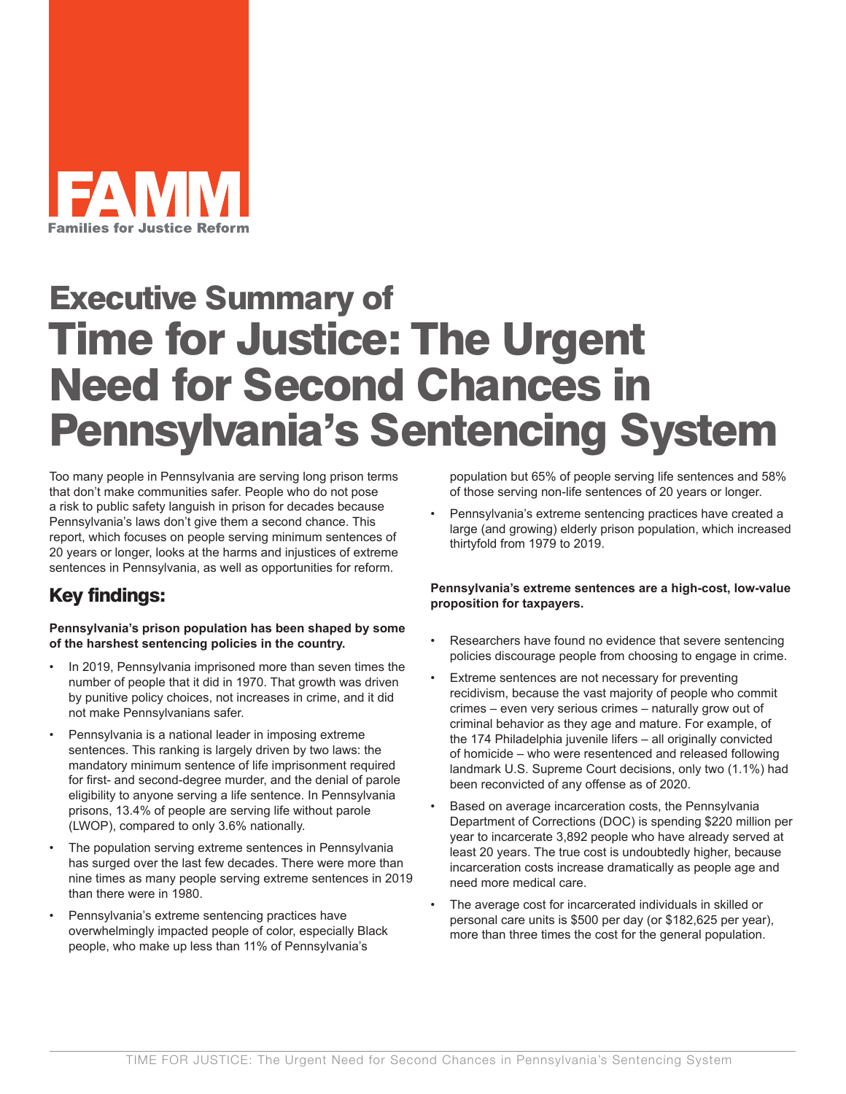

# Executive Summary of Time for Justice: The Urgent Need for Second Chances in Pennsylvania's Sentencing System

Too many people in Pennsylvania are serving long prison terms that don't make communities safer. People who do not pose a risk to public safety languish in prison for decades because Pennsylvania's laws don't give them a second chance. This report, which focuses on people serving minimum sentences of 20 years or longer, looks at the harms and injustices of extreme sentences in Pennsylvania, as well as opportunities for reform.

### Key findings:

**Pennsylvania's prison population has been shaped by some of the harshest sentencing policies in the country.**

- In 2019, Pennsylvania imprisoned more than seven times the number of people that it did in 1970. That growth was driven by punitive policy choices, not increases in crime, and it did not make Pennsylvanians safer.
- Pennsylvania is a national leader in imposing extreme sentences. This ranking is largely driven by two laws: the mandatory minimum sentence of life imprisonment required for first- and second-degree murder, and the denial of parole eligibility to anyone serving a life sentence. In Pennsylvania prisons, 13.4% of people are serving life without parole (LWOP), compared to only 3.6% nationally.
- The population serving extreme sentences in Pennsylvania has surged over the last few decades. There were more than nine times as many people serving extreme sentences in 2019 than there were in 1980.
- Pennsylvania's extreme sentencing practices have overwhelmingly impacted people of color, especially Black people, who make up less than 11% of Pennsylvania's

population but 65% of people serving life sentences and 58% of those serving non-life sentences of 20 years or longer.

• Pennsylvania's extreme sentencing practices have created a large (and growing) elderly prison population, which increased thirtyfold from 1979 to 2019.

**Pennsylvania's extreme sentences are a high-cost, low-value proposition for taxpayers.**

- Researchers have found no evidence that severe sentencing policies discourage people from choosing to engage in crime.
- Extreme sentences are not necessary for preventing recidivism, because the vast majority of people who commit crimes – even very serious crimes – naturally grow out of criminal behavior as they age and mature. For example, of the 174 Philadelphia juvenile lifers – all originally convicted of homicide – who were resentenced and released following landmark U.S. Supreme Court decisions, only two (1.1%) had been reconvicted of any offense as of 2020.
- Based on average incarceration costs, the Pennsylvania Department of Corrections (DOC) is spending \$220 million per year to incarcerate 3,892 people who have already served at least 20 years. The true cost is undoubtedly higher, because incarceration costs increase dramatically as people age and need more medical care.
- The average cost for incarcerated individuals in skilled or personal care units is \$500 per day (or \$182,625 per year), more than three times the cost for the general population.